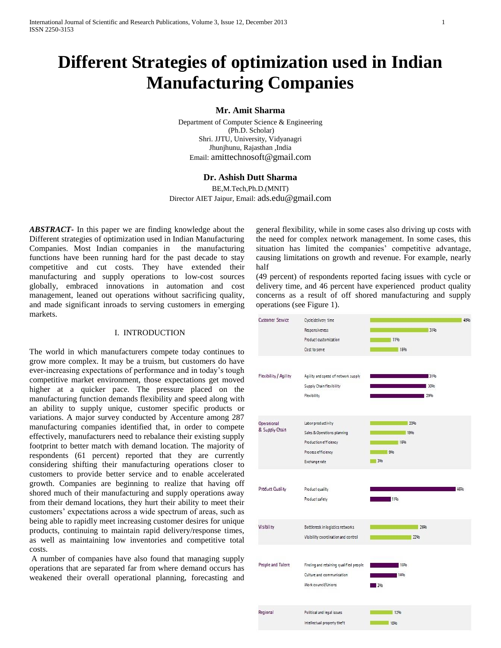# **Different Strategies of optimization used in Indian Manufacturing Companies**

#### **Mr. Amit Sharma**

Department of Computer Science & Engineering (Ph.D. Scholar) Shri. JJTU, University, Vidyanagri [Jhunjhunu,](http://www.google.co.in/url?q=http://www.managementparadise.com/institutes/jjtu/&sa=U&ei=Be_TUOrbKsiOrgf2kYCwDA&ved=0CDIQFjAI&usg=AFQjCNEI5S1ykO4b-EONHPCf6XW1ak9AHA) Rajasthan ,India Email: [amittechnosoft@gmail.com](mailto:amittechnosoft@gmail.com)

### **Dr. Ashish Dutt Sharma**

BE,M.Tech,Ph.D.(MNIT) Director AIET Jaipur, Email: [ads.edu@gmail.com](mailto:ads.edu@gmail.com)

*ABSTRACT***-** In this paper we are finding knowledge about the Different strategies of optimization used in Indian Manufacturing Companies. Most Indian companies in the manufacturing functions have been running hard for the past decade to stay competitive and cut costs. They have extended their manufacturing and supply operations to low-cost sources globally, embraced innovations in automation and cost management, leaned out operations without sacrificing quality, and made significant inroads to serving customers in emerging markets.

#### I. INTRODUCTION

The world in which manufacturers compete today continues to grow more complex. It may be a truism, but customers do have ever-increasing expectations of performance and in today's tough competitive market environment, those expectations get moved higher at a quicker pace. The pressure placed on the manufacturing function demands flexibility and speed along with an ability to supply unique, customer specific products or variations. A major survey conducted by Accenture among 287 manufacturing companies identified that, in order to compete effectively, manufacturers need to rebalance their existing supply footprint to better match with demand location. The majority of respondents (61 percent) reported that they are currently considering shifting their manufacturing operations closer to customers to provide better service and to enable accelerated growth. Companies are beginning to realize that having off shored much of their manufacturing and supply operations away from their demand locations, they hurt their ability to meet their customers' expectations across a wide spectrum of areas, such as being able to rapidly meet increasing customer desires for unique products, continuing to maintain rapid delivery/response times, as well as maintaining low inventories and competitive total costs.

A number of companies have also found that managing supply operations that are separated far from where demand occurs has weakened their overall operational planning, forecasting and general flexibility, while in some cases also driving up costs with the need for complex network management. In some cases, this situation has limited the companies' competitive advantage, causing limitations on growth and revenue. For example, nearly half

(49 percent) of respondents reported facing issues with cycle or delivery time, and 46 percent have experienced product quality concerns as a result of off shored manufacturing and supply operations (see Figure 1).

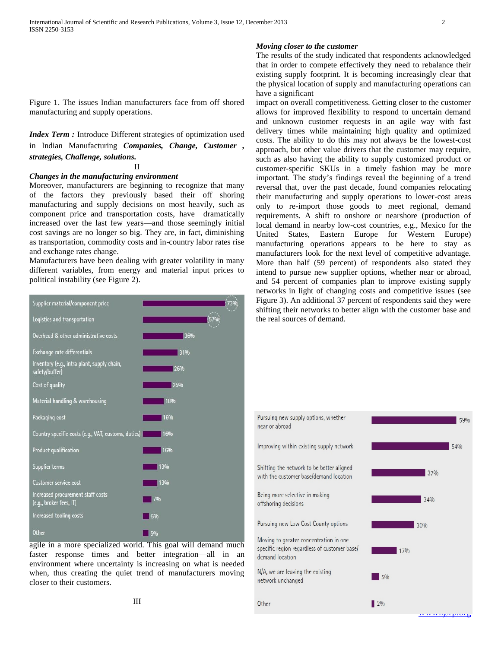Figure 1. The issues Indian manufacturers face from off shored manufacturing and supply operations.

*Index Term :* Introduce Different strategies of optimization used in Indian Manufacturing *Companies, Change, Customer , strategies, Challenge, solutions.*

II

#### *Changes in the manufacturing environment*

Moreover, manufacturers are beginning to recognize that many of the factors they previously based their off shoring manufacturing and supply decisions on most heavily, such as component price and transportation costs, have dramatically increased over the last few years—and those seemingly initial cost savings are no longer so big. They are, in fact, diminishing as transportation, commodity costs and in-country labor rates rise and exchange rates change.

Manufacturers have been dealing with greater volatility in many different variables, from energy and material input prices to political instability (see Figure 2).



agile in a more specialized world. This goal will demand much faster response times and better integration—all in an environment where uncertainty is increasing on what is needed when, thus creating the quiet trend of manufacturers moving closer to their customers.

#### *Moving closer to the customer*

The results of the study indicated that respondents acknowledged that in order to compete effectively they need to rebalance their existing supply footprint. It is becoming increasingly clear that the physical location of supply and manufacturing operations can have a significant

impact on overall competitiveness. Getting closer to the customer allows for improved flexibility to respond to uncertain demand and unknown customer requests in an agile way with fast delivery times while maintaining high quality and optimized costs. The ability to do this may not always be the lowest-cost approach, but other value drivers that the customer may require, such as also having the ability to supply customized product or customer-specific SKUs in a timely fashion may be more important. The study's findings reveal the beginning of a trend reversal that, over the past decade, found companies relocating their manufacturing and supply operations to lower-cost areas only to re-import those goods to meet regional, demand requirements. A shift to onshore or nearshore (production of local demand in nearby low-cost countries, e.g., Mexico for the United States, Eastern Europe for Western Europe) manufacturing operations appears to be here to stay as manufacturers look for the next level of competitive advantage. More than half (59 percent) of respondents also stated they intend to pursue new supplier options, whether near or abroad, and 54 percent of companies plan to improve existing supply networks in light of changing costs and competitive issues (see Figure 3). An additional 37 percent of respondents said they were shifting their networks to better align with the customer base and the real sources of demand.

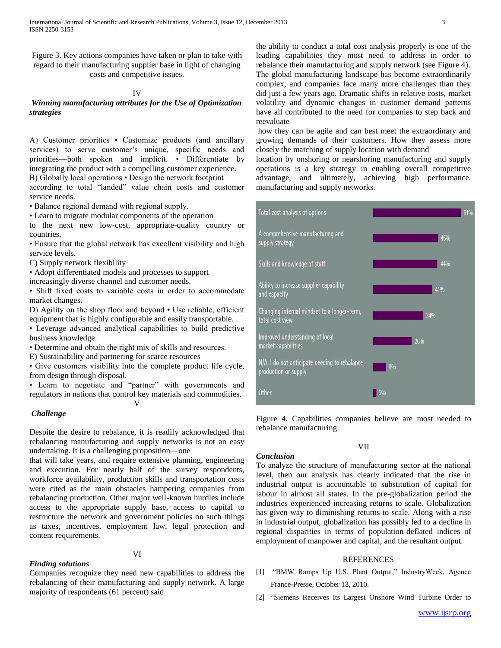Figure 3. Key actions companies have taken or plan to take with regard to their manufacturing supplier base in light of changing costs and competitive issues.

#### IV

#### *Winning manufacturing attributes for the Use of Optimization strategies*

A) Customer priorities • Customize products (and ancillary services) to serve customer's unique, specific needs and priorities—both spoken and implicit. • Differentiate by integrating the product with a compelling customer experience.

B) Globally local operations • Design the network footprint

according to total "landed" value chain costs and customer service needs.

• Balance regional demand with regional supply.

• Learn to migrate modular components of the operation

to the next new low-cost, appropriate-quality country or countries.

• Ensure that the global network has excellent visibility and high service levels.

C) Supply network flexibility

• Adopt differentiated models and processes to support

increasingly diverse channel and customer needs.

• Shift fixed costs to variable costs in order to accommodate market changes.

D) Agility on the shop floor and beyond • Use reliable, efficient equipment that is highly configurable and easily transportable.

• Leverage advanced analytical capabilities to build predictive business knowledge.

• Determine and obtain the right mix of skills and resources.

E) Sustainability and partnering for scarce resources

• Give customers visibility into the complete product life cycle, from design through disposal.

• Learn to negotiate and "partner" with governments and regulators in nations that control key materials and commodities. V

#### *Challenge*

Despite the desire to rebalance, it is readily acknowledged that rebalancing manufacturing and supply networks is not an easy undertaking. It is a challenging proposition—one

that will take years, and require extensive planning, engineering and execution. For nearly half of the survey respondents, workforce availability, production skills and transportation costs were cited as the main obstacles hampering companies from rebalancing production. Other major well-known hurdles include access to the appropriate supply base, access to capital to restructure the network and government policies on such things as taxes, incentives, employment law, legal protection and content requirements.

#### *Finding solutions*

Companies recognize they need new capabilities to address the rebalancing of their manufacturing and supply network. A large majority of respondents (61 percent) said

the ability to conduct a total cost analysis properly is one of the leading capabilities they most need to address in order to rebalance their manufacturing and supply network (see Figure 4). The global manufacturing landscape has become extraordinarily complex, and companies face many more challenges than they did just a few years ago. Dramatic shifts in relative costs, market volatility and dynamic changes in customer demand patterns have all contributed to the need for companies to step back and reevaluate

how they can be agile and can best meet the extraordinary and growing demands of their customers. How they assess more closely the matching of supply location with demand

location by onshoring or nearshoring manufacturing and supply operations is a key strategy in enabling overall competitive advantage, and ultimately, achieving high performance. manufacturing and supply networks.



Figure 4. Capabilities companies believe are most needed to rebalance manufacturing

VII

## *Conclusion*

To analyze the structure of manufacturing sector at the national level, then our analysis has clearly indicated that the rise in industrial output is accountable to substitution of capital for labour in almost all states. In the pre-globalization period the industries experienced increasing returns to scale. Globalization has given way to diminishing returns to scale. Along with a rise in industrial output, globalization has possibly led to a decline in regional disparities in terms of population-deflated indices of employment of manpower and capital, and the resultant output.

#### **REFERENCES**

- [1] "BMW Ramps Up U.S. Plant Output," IndustryWeek, Agence France-Presse, October 13, 2010.
- [2] "Siemens Receives Its Largest Onshore Wind Turbine Order to

#### VI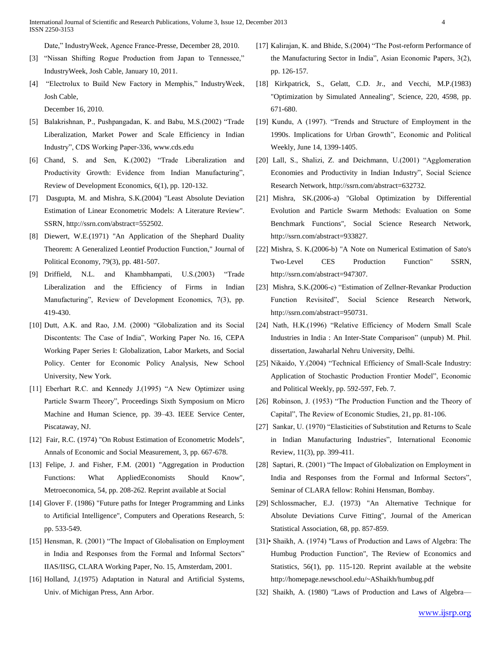Date," IndustryWeek, Agence France-Presse, December 28, 2010.

- [3] "Nissan Shifting Rogue Production from Japan to Tennessee," IndustryWeek, Josh Cable, January 10, 2011.
- [4] "Electrolux to Build New Factory in Memphis," IndustryWeek, Josh Cable,

December 16, 2010.

- [5] Balakrishnan, P., Pushpangadan, K. and Babu, M.S.(2002) "Trade Liberalization, Market Power and Scale Efficiency in Indian Industry", CDS Working Paper-336, www.cds.edu
- [6] Chand, S. and Sen, K.(2002) "Trade Liberalization and Productivity Growth: Evidence from Indian Manufacturing", Review of Development Economics, 6(1), pp. 120-132.
- [7] Dasgupta, M. and Mishra, S.K.(2004) "Least Absolute Deviation Estimation of Linear Econometric Models: A Literature Review". SSRN, http://ssrn.com/abstract=552502.
- [8] Diewert, W.E.(1971) "An Application of the Shephard Duality Theorem: A Generalized Leontief Production Function," Journal of Political Economy, 79(3), pp. 481-507.
- [9] Driffield, N.L. and Khambhampati, U.S.(2003) "Trade Liberalization and the Efficiency of Firms in Indian Manufacturing", Review of Development Economics, 7(3), pp. 419-430.
- [10] Dutt, A.K. and Rao, J.M. (2000) "Globalization and its Social Discontents: The Case of India", Working Paper No. 16, CEPA Working Paper Series I: Globalization, Labor Markets, and Social Policy. Center for Economic Policy Analysis, New School University, New York.
- [11] Eberhart R.C. and Kennedy J.(1995) "A New Optimizer using Particle Swarm Theory", Proceedings Sixth Symposium on Micro Machine and Human Science, pp. 39–43. IEEE Service Center, Piscataway, NJ.
- [12] Fair, R.C. (1974) "On Robust Estimation of Econometric Models", Annals of Economic and Social Measurement, 3, pp. 667-678.
- [13] Felipe, J. and Fisher, F.M. (2001) "Aggregation in Production Functions: What AppliedEconomists Should Know", Metroeconomica, 54, pp. 208-262. Reprint available at Social
- [14] Glover F. (1986) "Future paths for Integer Programming and Links to Artificial Intelligence", Computers and Operations Research, 5: pp. 533-549.
- [15] Hensman, R. (2001) "The Impact of Globalisation on Employment in India and Responses from the Formal and Informal Sectors" IIAS/IISG, CLARA Working Paper, No. 15, Amsterdam, 2001.
- [16] Holland, J.(1975) Adaptation in Natural and Artificial Systems, Univ. of Michigan Press, Ann Arbor.
- [17] Kalirajan, K. and Bhide, S.(2004) "The Post-reform Performance of the Manufacturing Sector in India", Asian Economic Papers, 3(2), pp. 126-157.
- [18] Kirkpatrick, S., Gelatt, C.D. Jr., and Vecchi, M.P.(1983) "Optimization by Simulated Annealing", Science, 220, 4598, pp. 671-680.
- [19] Kundu, A (1997). "Trends and Structure of Employment in the 1990s. Implications for Urban Growth", Economic and Political Weekly, June 14, 1399-1405.
- [20] Lall, S., Shalizi, Z. and Deichmann, U.(2001) "Agglomeration Economies and Productivity in Indian Industry", Social Science Research Network, http://ssrn.com/abstract=632732.
- [21] Mishra, SK.(2006-a) "Global Optimization by Differential Evolution and Particle Swarm Methods: Evaluation on Some Benchmark Functions", Social Science Research Network, http://ssrn.com/abstract=933827.
- [22] Mishra, S. K.(2006-b) "A Note on Numerical Estimation of Sato's Two-Level CES Production Function" SSRN, http://ssrn.com/abstract=947307.
- [23] Mishra, S.K.(2006-c) "Estimation of Zellner-Revankar Production Function Revisited", Social Science Research Network, http://ssrn.com/abstract=950731.
- [24] Nath, H.K.(1996) "Relative Efficiency of Modern Small Scale Industries in India : An Inter-State Comparison" (unpub) M. Phil. dissertation, Jawaharlal Nehru University, Delhi.
- [25] Nikaido, Y.(2004) "Technical Efficiency of Small-Scale Industry: Application of Stochastic Production Frontier Model", Economic and Political Weekly, pp. 592-597, Feb. 7.
- [26] Robinson, J. (1953) "The Production Function and the Theory of Capital", The Review of Economic Studies, 21, pp. 81-106.
- [27] Sankar, U. (1970) "Elasticities of Substitution and Returns to Scale in Indian Manufacturing Industries", International Economic Review, 11(3), pp. 399-411.
- [28] Saptari, R. (2001) "The Impact of Globalization on Employment in India and Responses from the Formal and Informal Sectors", Seminar of CLARA fellow: Rohini Hensman, Bombay.
- [29] Schlossmacher, E.J. (1973) "An Alternative Technique for Absolute Deviations Curve Fitting", Journal of the American Statistical Association, 68, pp. 857-859.
- [31]• Shaikh, A. (1974) "Laws of Production and Laws of Algebra: The Humbug Production Function", The Review of Economics and Statistics, 56(1), pp. 115-120. Reprint available at the website http://homepage.newschool.edu/~AShaikh/humbug.pdf
- [32] Shaikh, A. (1980) "Laws of Production and Laws of Algebra—